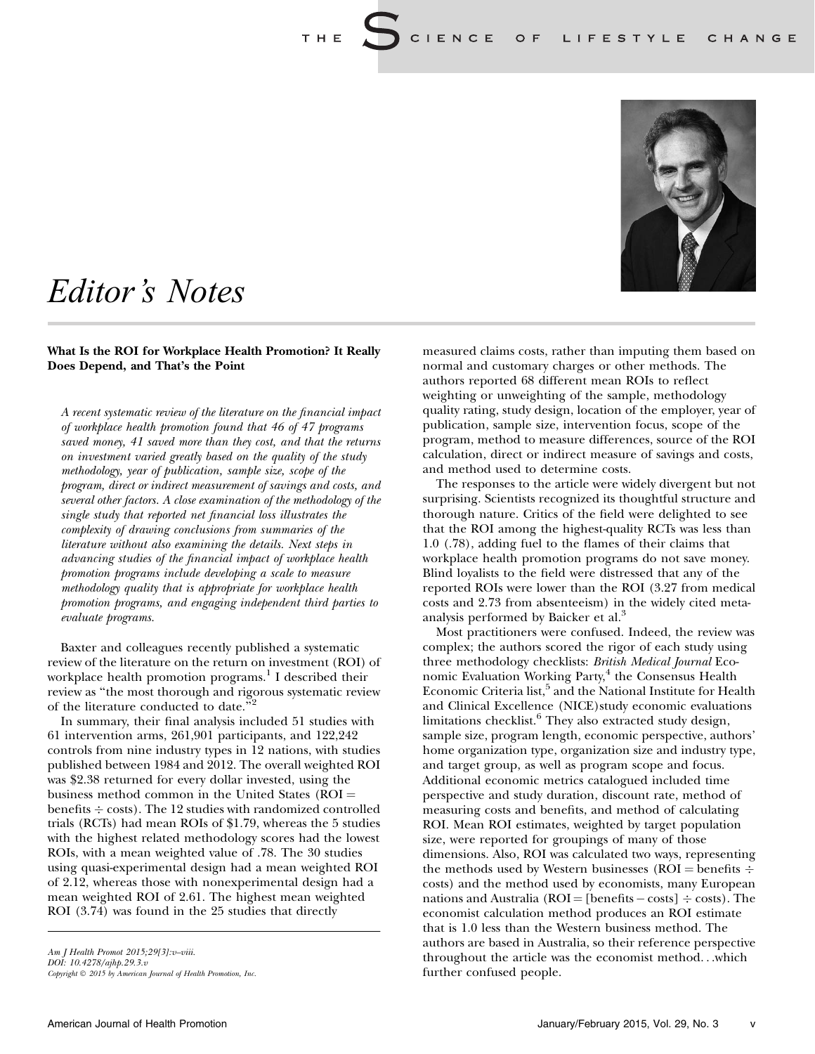

## Editor's Notes

#### What Is the ROI for Workplace Health Promotion? It Really Does Depend, and That's the Point

A recent systematic review of the literature on the financial impact of workplace health promotion found that 46 of 47 programs saved money, 41 saved more than they cost, and that the returns on investment varied greatly based on the quality of the study methodology, year of publication, sample size, scope of the program, direct or indirect measurement of savings and costs, and several other factors. A close examination of the methodology of the single study that reported net financial loss illustrates the complexity of drawing conclusions from summaries of the literature without also examining the details. Next steps in advancing studies of the financial impact of workplace health promotion programs include developing a scale to measure methodology quality that is appropriate for workplace health promotion programs, and engaging independent third parties to evaluate programs.

Baxter and colleagues recently published a systematic review of the literature on the return on investment (ROI) of workplace health promotion programs.<sup>1</sup> I described their review as ''the most thorough and rigorous systematic review of the literature conducted to date."<sup>2</sup>

In summary, their final analysis included 51 studies with 61 intervention arms, 261,901 participants, and 122,242 controls from nine industry types in 12 nations, with studies published between 1984 and 2012. The overall weighted ROI was \$2.38 returned for every dollar invested, using the business method common in the United States ( $ROI =$ benefits  $\div$  costs). The 12 studies with randomized controlled trials (RCTs) had mean ROIs of \$1.79, whereas the 5 studies with the highest related methodology scores had the lowest ROIs, with a mean weighted value of .78. The 30 studies using quasi-experimental design had a mean weighted ROI of 2.12, whereas those with nonexperimental design had a mean weighted ROI of 2.61. The highest mean weighted ROI (3.74) was found in the 25 studies that directly

Am J Health Promot 2015;29[3]:v–viii. DOI: 10.4278/ajhp.29.3.v Copyright  $O$  2015 by American Journal of Health Promotion, Inc. measured claims costs, rather than imputing them based on normal and customary charges or other methods. The authors reported 68 different mean ROIs to reflect weighting or unweighting of the sample, methodology quality rating, study design, location of the employer, year of publication, sample size, intervention focus, scope of the program, method to measure differences, source of the ROI calculation, direct or indirect measure of savings and costs, and method used to determine costs.

The responses to the article were widely divergent but not surprising. Scientists recognized its thoughtful structure and thorough nature. Critics of the field were delighted to see that the ROI among the highest-quality RCTs was less than 1.0 (.78), adding fuel to the flames of their claims that workplace health promotion programs do not save money. Blind loyalists to the field were distressed that any of the reported ROIs were lower than the ROI (3.27 from medical costs and 2.73 from absenteeism) in the widely cited metaanalysis performed by Baicker et al.<sup>3</sup>

Most practitioners were confused. Indeed, the review was complex; the authors scored the rigor of each study using three methodology checklists: British Medical Journal Economic Evaluation Working Party,<sup>4</sup> the Consensus Health Economic Criteria list,<sup>5</sup> and the National Institute for Health and Clinical Excellence (NICE)study economic evaluations limitations checklist. $6$  They also extracted study design, sample size, program length, economic perspective, authors' home organization type, organization size and industry type, and target group, as well as program scope and focus. Additional economic metrics catalogued included time perspective and study duration, discount rate, method of measuring costs and benefits, and method of calculating ROI. Mean ROI estimates, weighted by target population size, were reported for groupings of many of those dimensions. Also, ROI was calculated two ways, representing the methods used by Western businesses (ROI = benefits  $\div$ costs) and the method used by economists, many European nations and Australia ( $ROI = [benefits - costs] \div costs$ ). The economist calculation method produces an ROI estimate that is 1.0 less than the Western business method. The authors are based in Australia, so their reference perspective throughout the article was the economist method...which further confused people.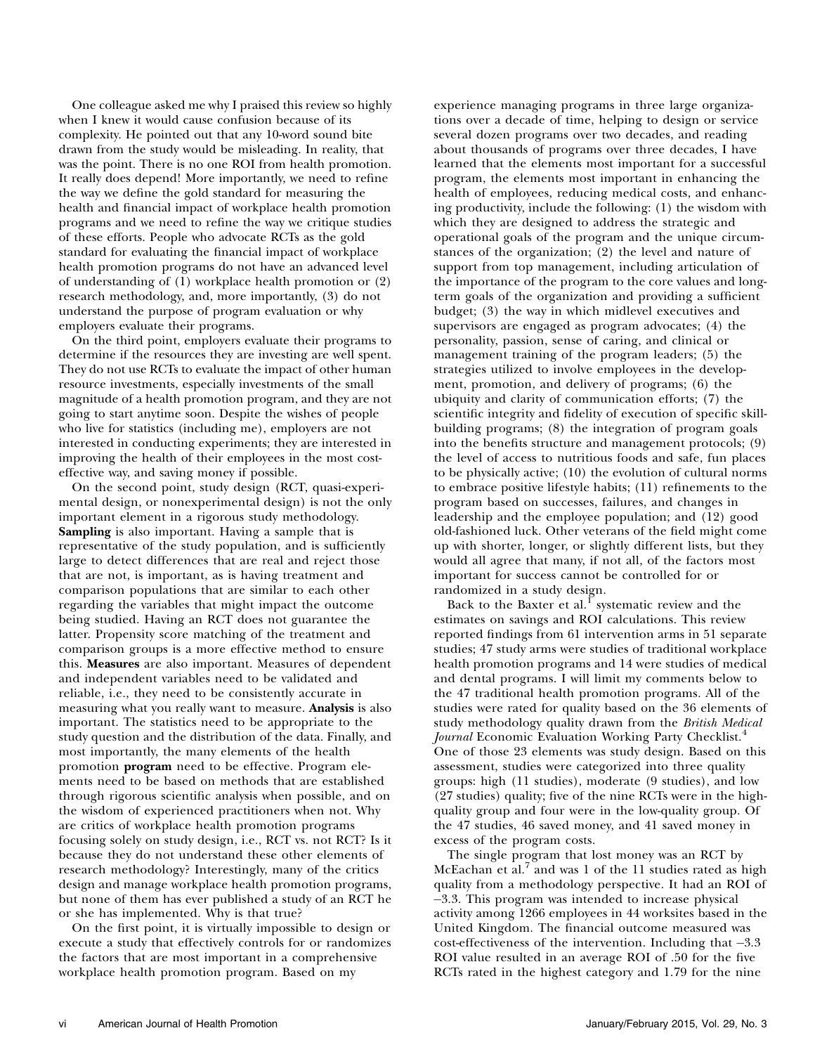One colleague asked me why I praised this review so highly when I knew it would cause confusion because of its complexity. He pointed out that any 10-word sound bite drawn from the study would be misleading. In reality, that was the point. There is no one ROI from health promotion. It really does depend! More importantly, we need to refine the way we define the gold standard for measuring the health and financial impact of workplace health promotion programs and we need to refine the way we critique studies of these efforts. People who advocate RCTs as the gold standard for evaluating the financial impact of workplace health promotion programs do not have an advanced level of understanding of (1) workplace health promotion or (2) research methodology, and, more importantly, (3) do not understand the purpose of program evaluation or why employers evaluate their programs.

On the third point, employers evaluate their programs to determine if the resources they are investing are well spent. They do not use RCTs to evaluate the impact of other human resource investments, especially investments of the small magnitude of a health promotion program, and they are not going to start anytime soon. Despite the wishes of people who live for statistics (including me), employers are not interested in conducting experiments; they are interested in improving the health of their employees in the most costeffective way, and saving money if possible.

On the second point, study design (RCT, quasi-experimental design, or nonexperimental design) is not the only important element in a rigorous study methodology. Sampling is also important. Having a sample that is representative of the study population, and is sufficiently large to detect differences that are real and reject those that are not, is important, as is having treatment and comparison populations that are similar to each other regarding the variables that might impact the outcome being studied. Having an RCT does not guarantee the latter. Propensity score matching of the treatment and comparison groups is a more effective method to ensure this. Measures are also important. Measures of dependent and independent variables need to be validated and reliable, i.e., they need to be consistently accurate in measuring what you really want to measure. Analysis is also important. The statistics need to be appropriate to the study question and the distribution of the data. Finally, and most importantly, the many elements of the health promotion program need to be effective. Program elements need to be based on methods that are established through rigorous scientific analysis when possible, and on the wisdom of experienced practitioners when not. Why are critics of workplace health promotion programs focusing solely on study design, i.e., RCT vs. not RCT? Is it because they do not understand these other elements of research methodology? Interestingly, many of the critics design and manage workplace health promotion programs, but none of them has ever published a study of an RCT he or she has implemented. Why is that true?

On the first point, it is virtually impossible to design or execute a study that effectively controls for or randomizes the factors that are most important in a comprehensive workplace health promotion program. Based on my

experience managing programs in three large organizations over a decade of time, helping to design or service several dozen programs over two decades, and reading about thousands of programs over three decades, I have learned that the elements most important for a successful program, the elements most important in enhancing the health of employees, reducing medical costs, and enhancing productivity, include the following: (1) the wisdom with which they are designed to address the strategic and operational goals of the program and the unique circumstances of the organization; (2) the level and nature of support from top management, including articulation of the importance of the program to the core values and longterm goals of the organization and providing a sufficient budget; (3) the way in which midlevel executives and supervisors are engaged as program advocates; (4) the personality, passion, sense of caring, and clinical or management training of the program leaders; (5) the strategies utilized to involve employees in the development, promotion, and delivery of programs; (6) the ubiquity and clarity of communication efforts; (7) the scientific integrity and fidelity of execution of specific skillbuilding programs; (8) the integration of program goals into the benefits structure and management protocols; (9) the level of access to nutritious foods and safe, fun places to be physically active; (10) the evolution of cultural norms to embrace positive lifestyle habits; (11) refinements to the program based on successes, failures, and changes in leadership and the employee population; and (12) good old-fashioned luck. Other veterans of the field might come up with shorter, longer, or slightly different lists, but they would all agree that many, if not all, of the factors most important for success cannot be controlled for or randomized in a study design.

Back to the Baxter et al.<sup>1</sup> systematic review and the estimates on savings and ROI calculations. This review reported findings from 61 intervention arms in 51 separate studies; 47 study arms were studies of traditional workplace health promotion programs and 14 were studies of medical and dental programs. I will limit my comments below to the 47 traditional health promotion programs. All of the studies were rated for quality based on the 36 elements of study methodology quality drawn from the British Medical Journal Economic Evaluation Working Party Checklist. One of those 23 elements was study design. Based on this assessment, studies were categorized into three quality groups: high (11 studies), moderate (9 studies), and low (27 studies) quality; five of the nine RCTs were in the highquality group and four were in the low-quality group. Of the 47 studies, 46 saved money, and 41 saved money in excess of the program costs.

The single program that lost money was an RCT by McEachan et al.<sup>7</sup> and was 1 of the 11 studies rated as high quality from a methodology perspective. It had an ROI of -3.3. This program was intended to increase physical activity among 1266 employees in 44 worksites based in the United Kingdom. The financial outcome measured was cost-effectiveness of the intervention. Including that -3.3 ROI value resulted in an average ROI of .50 for the five RCTs rated in the highest category and 1.79 for the nine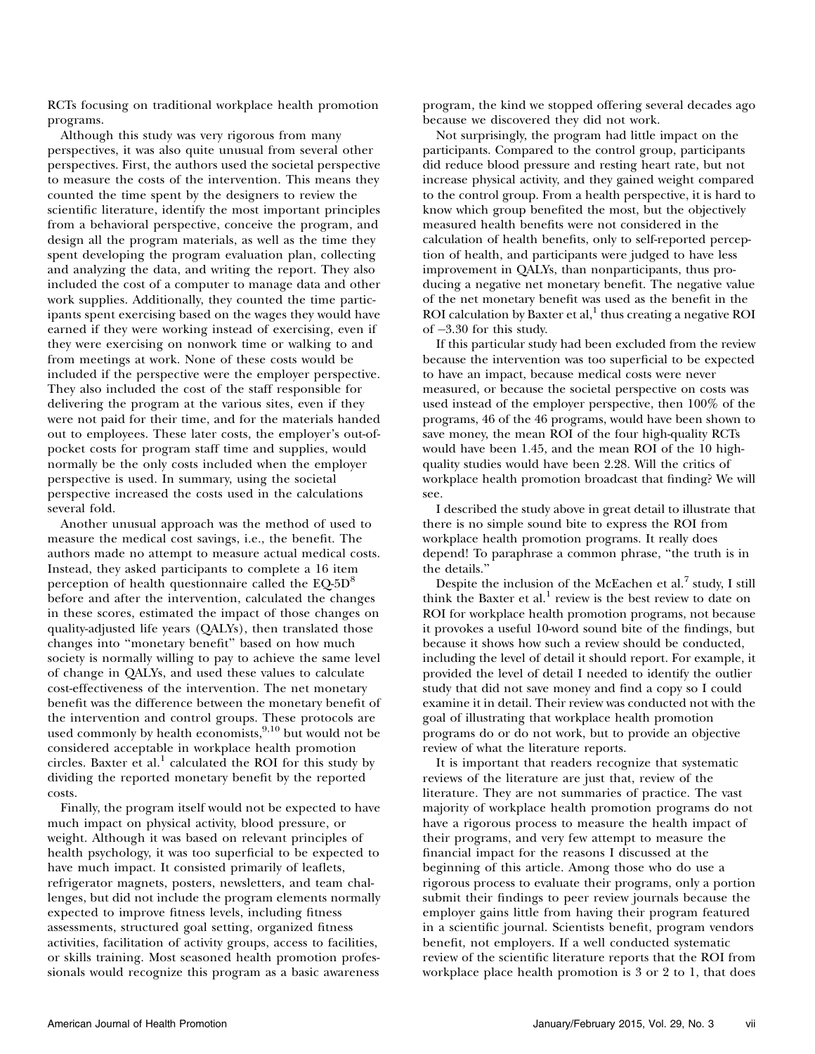RCTs focusing on traditional workplace health promotion programs.

Although this study was very rigorous from many perspectives, it was also quite unusual from several other perspectives. First, the authors used the societal perspective to measure the costs of the intervention. This means they counted the time spent by the designers to review the scientific literature, identify the most important principles from a behavioral perspective, conceive the program, and design all the program materials, as well as the time they spent developing the program evaluation plan, collecting and analyzing the data, and writing the report. They also included the cost of a computer to manage data and other work supplies. Additionally, they counted the time participants spent exercising based on the wages they would have earned if they were working instead of exercising, even if they were exercising on nonwork time or walking to and from meetings at work. None of these costs would be included if the perspective were the employer perspective. They also included the cost of the staff responsible for delivering the program at the various sites, even if they were not paid for their time, and for the materials handed out to employees. These later costs, the employer's out-ofpocket costs for program staff time and supplies, would normally be the only costs included when the employer perspective is used. In summary, using the societal perspective increased the costs used in the calculations several fold.

Another unusual approach was the method of used to measure the medical cost savings, i.e., the benefit. The authors made no attempt to measure actual medical costs. Instead, they asked participants to complete a 16 item perception of health questionnaire called the  $EQ-5D^8$ before and after the intervention, calculated the changes in these scores, estimated the impact of those changes on quality-adjusted life years (QALYs), then translated those changes into ''monetary benefit'' based on how much society is normally willing to pay to achieve the same level of change in QALYs, and used these values to calculate cost-effectiveness of the intervention. The net monetary benefit was the difference between the monetary benefit of the intervention and control groups. These protocols are used commonly by health economists,<sup>9,10</sup> but would not be considered acceptable in workplace health promotion circles. Baxter et al.<sup>1</sup> calculated the ROI for this study by dividing the reported monetary benefit by the reported costs.

Finally, the program itself would not be expected to have much impact on physical activity, blood pressure, or weight. Although it was based on relevant principles of health psychology, it was too superficial to be expected to have much impact. It consisted primarily of leaflets, refrigerator magnets, posters, newsletters, and team challenges, but did not include the program elements normally expected to improve fitness levels, including fitness assessments, structured goal setting, organized fitness activities, facilitation of activity groups, access to facilities, or skills training. Most seasoned health promotion professionals would recognize this program as a basic awareness

program, the kind we stopped offering several decades ago because we discovered they did not work.

Not surprisingly, the program had little impact on the participants. Compared to the control group, participants did reduce blood pressure and resting heart rate, but not increase physical activity, and they gained weight compared to the control group. From a health perspective, it is hard to know which group benefited the most, but the objectively measured health benefits were not considered in the calculation of health benefits, only to self-reported perception of health, and participants were judged to have less improvement in QALYs, than nonparticipants, thus producing a negative net monetary benefit. The negative value of the net monetary benefit was used as the benefit in the ROI calculation by Baxter et al, $<sup>1</sup>$  thus creating a negative ROI</sup> of -3.30 for this study.

If this particular study had been excluded from the review because the intervention was too superficial to be expected to have an impact, because medical costs were never measured, or because the societal perspective on costs was used instead of the employer perspective, then 100% of the programs, 46 of the 46 programs, would have been shown to save money, the mean ROI of the four high-quality RCTs would have been 1.45, and the mean ROI of the 10 highquality studies would have been 2.28. Will the critics of workplace health promotion broadcast that finding? We will see.

I described the study above in great detail to illustrate that there is no simple sound bite to express the ROI from workplace health promotion programs. It really does depend! To paraphrase a common phrase, ''the truth is in the details.''

Despite the inclusion of the McEachen et al.<sup>7</sup> study, I still think the Baxter et  $al.1$  review is the best review to date on ROI for workplace health promotion programs, not because it provokes a useful 10-word sound bite of the findings, but because it shows how such a review should be conducted, including the level of detail it should report. For example, it provided the level of detail I needed to identify the outlier study that did not save money and find a copy so I could examine it in detail. Their review was conducted not with the goal of illustrating that workplace health promotion programs do or do not work, but to provide an objective review of what the literature reports.

It is important that readers recognize that systematic reviews of the literature are just that, review of the literature. They are not summaries of practice. The vast majority of workplace health promotion programs do not have a rigorous process to measure the health impact of their programs, and very few attempt to measure the financial impact for the reasons I discussed at the beginning of this article. Among those who do use a rigorous process to evaluate their programs, only a portion submit their findings to peer review journals because the employer gains little from having their program featured in a scientific journal. Scientists benefit, program vendors benefit, not employers. If a well conducted systematic review of the scientific literature reports that the ROI from workplace place health promotion is 3 or 2 to 1, that does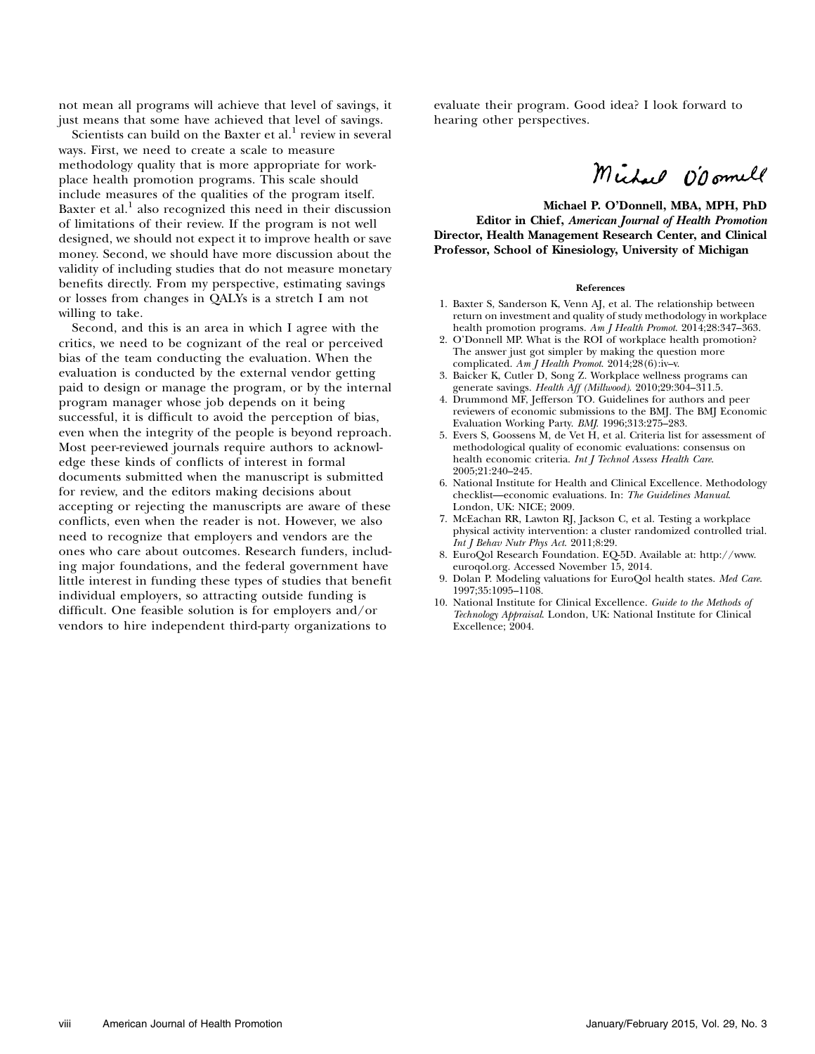not mean all programs will achieve that level of savings, it just means that some have achieved that level of savings.

Scientists can build on the Baxter et al.<sup>1</sup> review in several ways. First, we need to create a scale to measure methodology quality that is more appropriate for workplace health promotion programs. This scale should include measures of the qualities of the program itself. Baxter et al.<sup>1</sup> also recognized this need in their discussion of limitations of their review. If the program is not well designed, we should not expect it to improve health or save money. Second, we should have more discussion about the validity of including studies that do not measure monetary benefits directly. From my perspective, estimating savings or losses from changes in QALYs is a stretch I am not willing to take.

Second, and this is an area in which I agree with the critics, we need to be cognizant of the real or perceived bias of the team conducting the evaluation. When the evaluation is conducted by the external vendor getting paid to design or manage the program, or by the internal program manager whose job depends on it being successful, it is difficult to avoid the perception of bias, even when the integrity of the people is beyond reproach. Most peer-reviewed journals require authors to acknowledge these kinds of conflicts of interest in formal documents submitted when the manuscript is submitted for review, and the editors making decisions about accepting or rejecting the manuscripts are aware of these conflicts, even when the reader is not. However, we also need to recognize that employers and vendors are the ones who care about outcomes. Research funders, including major foundations, and the federal government have little interest in funding these types of studies that benefit individual employers, so attracting outside funding is difficult. One feasible solution is for employers and/or vendors to hire independent third-party organizations to

evaluate their program. Good idea? I look forward to hearing other perspectives.

Michael O'O omill

Michael P. O'Donnell, MBA, MPH, PhD Editor in Chief, American Journal of Health Promotion Director, Health Management Research Center, and Clinical Professor, School of Kinesiology, University of Michigan

#### References

- 1. Baxter S, Sanderson K, Venn AJ, et al. The relationship between return on investment and quality of study methodology in workplace health promotion programs. Am J Health Promot. 2014;28:347-363.
- 2. O'Donnell MP. What is the ROI of workplace health promotion? The answer just got simpler by making the question more complicated. Am J Health Promot. 2014;28(6):iv-v.
- 3. Baicker K, Cutler D, Song Z. Workplace wellness programs can generate savings. Health Aff (Millwood). 2010;29:304-311.5.
- 4. Drummond MF, Jefferson TO. Guidelines for authors and peer reviewers of economic submissions to the BMJ. The BMJ Economic Evaluation Working Party. BMJ. 1996;313:275–283.
- 5. Evers S, Goossens M, de Vet H, et al. Criteria list for assessment of methodological quality of economic evaluations: consensus on health economic criteria. Int J Technol Assess Health Care. 2005;21:240–245.
- 6. National Institute for Health and Clinical Excellence. Methodology checklist—economic evaluations. In: The Guidelines Manual. London, UK: NICE; 2009.
- 7. McEachan RR, Lawton RJ, Jackson C, et al. Testing a workplace physical activity intervention: a cluster randomized controlled trial. Int J Behav Nutr Phys Act. 2011;8:29.
- 8. EuroQol Research Foundation. EQ-5D. Available at: http://www. euroqol.org. Accessed November 15, 2014.
- 9. Dolan P. Modeling valuations for EuroQol health states. Med Care. 1997;35:1095–1108.
- 10. National Institute for Clinical Excellence. Guide to the Methods of Technology Appraisal. London, UK: National Institute for Clinical Excellence; 2004.